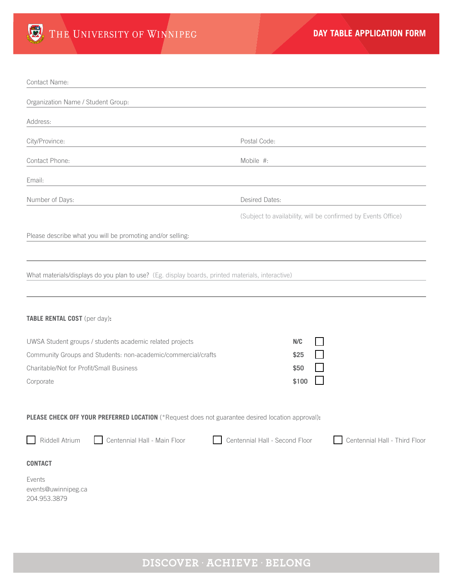

| Contact Name:                                                                                                             |                                                                 |
|---------------------------------------------------------------------------------------------------------------------------|-----------------------------------------------------------------|
| Organization Name / Student Group:                                                                                        |                                                                 |
| Address:                                                                                                                  |                                                                 |
| City/Province:                                                                                                            | Postal Code:                                                    |
| Contact Phone:                                                                                                            | Mobile #:                                                       |
| Email:                                                                                                                    |                                                                 |
| Number of Days:                                                                                                           | Desired Dates:                                                  |
|                                                                                                                           | (Subject to availability, will be confirmed by Events Office)   |
| Please describe what you will be promoting and/or selling:                                                                |                                                                 |
|                                                                                                                           |                                                                 |
| What materials/displays do you plan to use? (Eg. display boards, printed materials, interactive)                          |                                                                 |
|                                                                                                                           |                                                                 |
| TABLE RENTAL COST (per day):                                                                                              |                                                                 |
|                                                                                                                           |                                                                 |
| UWSA Student groups / students academic related projects<br>Community Groups and Students: non-academic/commercial/crafts | N/C<br>\$25                                                     |
| Charitable/Not for Profit/Small Business                                                                                  | \$50                                                            |
| Corporate                                                                                                                 | \$100                                                           |
|                                                                                                                           |                                                                 |
| PLEASE CHECK OFF YOUR PREFERRED LOCATION (*Request does not guarantee desired location approval):                         |                                                                 |
| Riddell Atrium<br>Centennial Hall - Main Floor                                                                            | Centennial Hall - Second Floor<br>Centennial Hall - Third Floor |
| <b>CONTACT</b>                                                                                                            |                                                                 |
| Events                                                                                                                    |                                                                 |
| events@uwinnipeg.ca<br>204.953.3879                                                                                       |                                                                 |
|                                                                                                                           |                                                                 |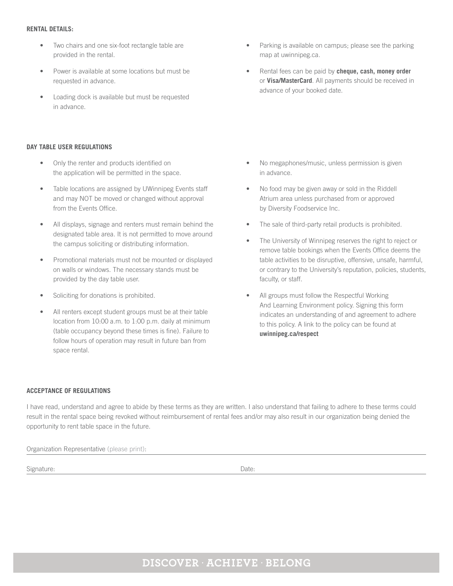## **RENTAL DETAILS:**

- Two chairs and one six-foot rectangle table are provided in the rental.
- Power is available at some locations but must be requested in advance.
- Loading dock is available but must be requested in advance.

## **DAY TABLE USER REGULATIONS**

- Only the renter and products identified on the application will be permitted in the space.
- Table locations are assigned by UWinnipeg Events staff and may NOT be moved or changed without approval from the Events Office.
- All displays, signage and renters must remain behind the designated table area. It is not permitted to move around the campus soliciting or distributing information.
- Promotional materials must not be mounted or displayed on walls or windows. The necessary stands must be provided by the day table user.
- Soliciting for donations is prohibited.
- All renters except student groups must be at their table location from 10:00 a.m. to 1:00 p.m. daily at minimum (table occupancy beyond these times is fine). Failure to follow hours of operation may result in future ban from space rental.
- Parking is available on campus; please see the parking map at uwinnipeg.ca.
- Rental fees can be paid by **cheque, cash, money order**  or **Visa/MasterCard**. All payments should be received in advance of your booked date.

- No megaphones/music, unless permission is given in advance.
- No food may be given away or sold in the Riddell Atrium area unless purchased from or approved by Diversity Foodservice Inc.
- The sale of third-party retail products is prohibited.
- The University of Winnipeg reserves the right to reject or remove table bookings when the Events Office deems the table activities to be disruptive, offensive, unsafe, harmful, or contrary to the University's reputation, policies, students, faculty, or staff.
- All groups must follow the Respectful Working And Learning Environment policy. Signing this form indicates an understanding of and agreement to adhere to this policy. A link to the policy can be found at **uwinnipeg.ca/respect**

## **ACCEPTANCE OF REGULATIONS**

I have read, understand and agree to abide by these terms as they are written. I also understand that failing to adhere to these terms could result in the rental space being revoked without reimbursement of rental fees and/or may also result in our organization being denied the opportunity to rent table space in the future.

Organization Representative (please print):

Signature: Date: Date: Date: Date: Date: Date: Date: Date: Date: Date: Date: Date: Date: Date: Date: Date: Date: Date: Date: Date: Date: Date: Date: Date: Date: Date: Date: Date: Date: Date: Date: Date: Date: Date: Date: D